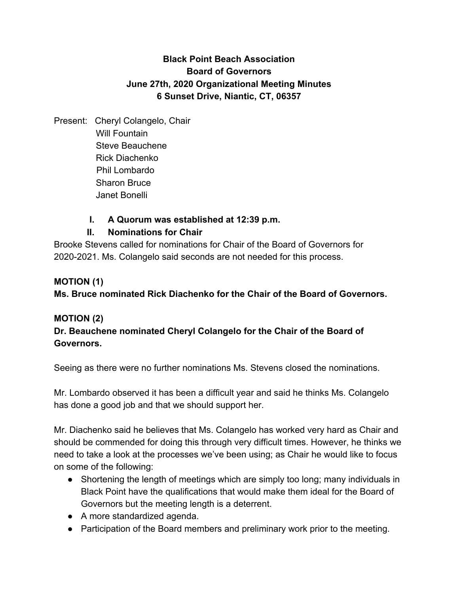# **Black Point Beach Association Board of Governors June 27th, 2020 Organizational Meeting Minutes 6 Sunset Drive, Niantic, CT, 06357**

Present: Cheryl Colangelo, Chair Will Fountain Steve Beauchene Rick Diachenko Phil Lombardo Sharon Bruce Janet Bonelli

# **I. A Quorum was established at 12:39 p.m.**

# **II. Nominations for Chair**

Brooke Stevens called for nominations for Chair of the Board of Governors for 2020-2021. Ms. Colangelo said seconds are not needed for this process.

### **MOTION (1)**

**Ms. Bruce nominated Rick Diachenko for the Chair of the Board of Governors.**

# **MOTION (2)**

# **Dr. Beauchene nominated Cheryl Colangelo for the Chair of the Board of Governors.**

Seeing as there were no further nominations Ms. Stevens closed the nominations.

Mr. Lombardo observed it has been a difficult year and said he thinks Ms. Colangelo has done a good job and that we should support her.

Mr. Diachenko said he believes that Ms. Colangelo has worked very hard as Chair and should be commended for doing this through very difficult times. However, he thinks we need to take a look at the processes we've been using; as Chair he would like to focus on some of the following:

- Shortening the length of meetings which are simply too long; many individuals in Black Point have the qualifications that would make them ideal for the Board of Governors but the meeting length is a deterrent.
- A more standardized agenda.
- Participation of the Board members and preliminary work prior to the meeting.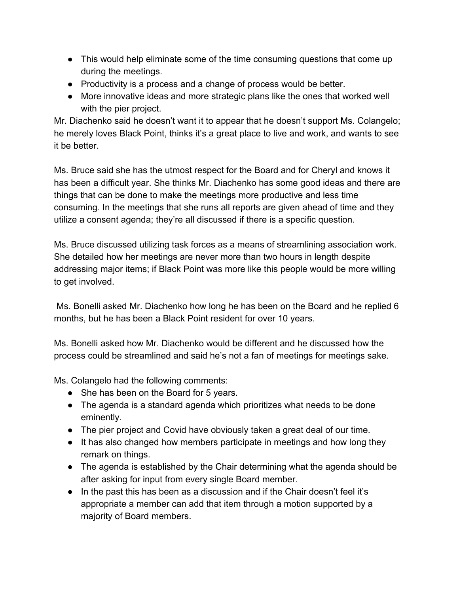- This would help eliminate some of the time consuming questions that come up during the meetings.
- Productivity is a process and a change of process would be better.
- More innovative ideas and more strategic plans like the ones that worked well with the pier project.

Mr. Diachenko said he doesn't want it to appear that he doesn't support Ms. Colangelo; he merely loves Black Point, thinks it's a great place to live and work, and wants to see it be better.

Ms. Bruce said she has the utmost respect for the Board and for Cheryl and knows it has been a difficult year. She thinks Mr. Diachenko has some good ideas and there are things that can be done to make the meetings more productive and less time consuming. In the meetings that she runs all reports are given ahead of time and they utilize a consent agenda; they're all discussed if there is a specific question.

Ms. Bruce discussed utilizing task forces as a means of streamlining association work. She detailed how her meetings are never more than two hours in length despite addressing major items; if Black Point was more like this people would be more willing to get involved.

 Ms. Bonelli asked Mr. Diachenko how long he has been on the Board and he replied 6 months, but he has been a Black Point resident for over 10 years.

Ms. Bonelli asked how Mr. Diachenko would be different and he discussed how the process could be streamlined and said he's not a fan of meetings for meetings sake.

Ms. Colangelo had the following comments:

- She has been on the Board for 5 years.
- The agenda is a standard agenda which prioritizes what needs to be done eminently.
- The pier project and Covid have obviously taken a great deal of our time.
- It has also changed how members participate in meetings and how long they remark on things.
- The agenda is established by the Chair determining what the agenda should be after asking for input from every single Board member.
- In the past this has been as a discussion and if the Chair doesn't feel it's appropriate a member can add that item through a motion supported by a majority of Board members.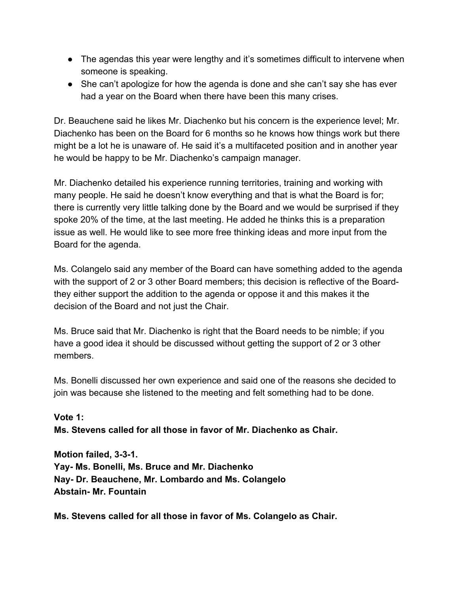- The agendas this year were lengthy and it's sometimes difficult to intervene when someone is speaking.
- She can't apologize for how the agenda is done and she can't say she has ever had a year on the Board when there have been this many crises.

Dr. Beauchene said he likes Mr. Diachenko but his concern is the experience level; Mr. Diachenko has been on the Board for 6 months so he knows how things work but there might be a lot he is unaware of. He said it's a multifaceted position and in another year he would be happy to be Mr. Diachenko's campaign manager.

Mr. Diachenko detailed his experience running territories, training and working with many people. He said he doesn't know everything and that is what the Board is for; there is currently very little talking done by the Board and we would be surprised if they spoke 20% of the time, at the last meeting. He added he thinks this is a preparation issue as well. He would like to see more free thinking ideas and more input from the Board for the agenda.

Ms. Colangelo said any member of the Board can have something added to the agenda with the support of 2 or 3 other Board members; this decision is reflective of the Boardthey either support the addition to the agenda or oppose it and this makes it the decision of the Board and not just the Chair.

Ms. Bruce said that Mr. Diachenko is right that the Board needs to be nimble; if you have a good idea it should be discussed without getting the support of 2 or 3 other members.

Ms. Bonelli discussed her own experience and said one of the reasons she decided to join was because she listened to the meeting and felt something had to be done.

**Vote 1: Ms. Stevens called for all those in favor of Mr. Diachenko as Chair.**

**Motion failed, 3-3-1. Yay- Ms. Bonelli, Ms. Bruce and Mr. Diachenko Nay- Dr. Beauchene, Mr. Lombardo and Ms. Colangelo Abstain- Mr. Fountain**

**Ms. Stevens called for all those in favor of Ms. Colangelo as Chair.**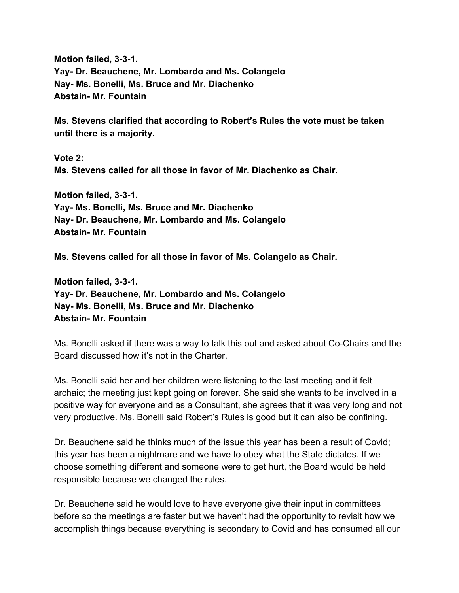**Motion failed, 3-3-1. Yay- Dr. Beauchene, Mr. Lombardo and Ms. Colangelo Nay- Ms. Bonelli, Ms. Bruce and Mr. Diachenko Abstain- Mr. Fountain**

**Ms. Stevens clarified that according to Robert's Rules the vote must be taken until there is a majority.**

**Vote 2: Ms. Stevens called for all those in favor of Mr. Diachenko as Chair.**

**Motion failed, 3-3-1. Yay- Ms. Bonelli, Ms. Bruce and Mr. Diachenko Nay- Dr. Beauchene, Mr. Lombardo and Ms. Colangelo Abstain- Mr. Fountain**

**Ms. Stevens called for all those in favor of Ms. Colangelo as Chair.**

**Motion failed, 3-3-1. Yay- Dr. Beauchene, Mr. Lombardo and Ms. Colangelo Nay- Ms. Bonelli, Ms. Bruce and Mr. Diachenko Abstain- Mr. Fountain**

Ms. Bonelli asked if there was a way to talk this out and asked about Co-Chairs and the Board discussed how it's not in the Charter.

Ms. Bonelli said her and her children were listening to the last meeting and it felt archaic; the meeting just kept going on forever. She said she wants to be involved in a positive way for everyone and as a Consultant, she agrees that it was very long and not very productive. Ms. Bonelli said Robert's Rules is good but it can also be confining.

Dr. Beauchene said he thinks much of the issue this year has been a result of Covid; this year has been a nightmare and we have to obey what the State dictates. If we choose something different and someone were to get hurt, the Board would be held responsible because we changed the rules.

Dr. Beauchene said he would love to have everyone give their input in committees before so the meetings are faster but we haven't had the opportunity to revisit how we accomplish things because everything is secondary to Covid and has consumed all our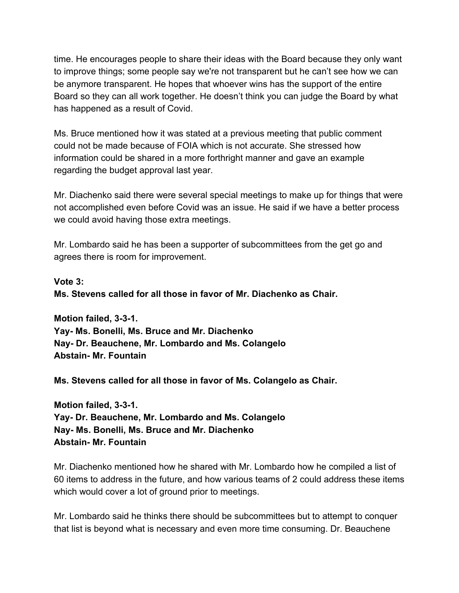time. He encourages people to share their ideas with the Board because they only want to improve things; some people say we're not transparent but he can't see how we can be anymore transparent. He hopes that whoever wins has the support of the entire Board so they can all work together. He doesn't think you can judge the Board by what has happened as a result of Covid.

Ms. Bruce mentioned how it was stated at a previous meeting that public comment could not be made because of FOIA which is not accurate. She stressed how information could be shared in a more forthright manner and gave an example regarding the budget approval last year.

Mr. Diachenko said there were several special meetings to make up for things that were not accomplished even before Covid was an issue. He said if we have a better process we could avoid having those extra meetings.

Mr. Lombardo said he has been a supporter of subcommittees from the get go and agrees there is room for improvement.

**Vote 3:**

**Ms. Stevens called for all those in favor of Mr. Diachenko as Chair.**

**Motion failed, 3-3-1. Yay- Ms. Bonelli, Ms. Bruce and Mr. Diachenko Nay- Dr. Beauchene, Mr. Lombardo and Ms. Colangelo Abstain- Mr. Fountain**

**Ms. Stevens called for all those in favor of Ms. Colangelo as Chair.**

**Motion failed, 3-3-1. Yay- Dr. Beauchene, Mr. Lombardo and Ms. Colangelo Nay- Ms. Bonelli, Ms. Bruce and Mr. Diachenko Abstain- Mr. Fountain**

Mr. Diachenko mentioned how he shared with Mr. Lombardo how he compiled a list of 60 items to address in the future, and how various teams of 2 could address these items which would cover a lot of ground prior to meetings.

Mr. Lombardo said he thinks there should be subcommittees but to attempt to conquer that list is beyond what is necessary and even more time consuming. Dr. Beauchene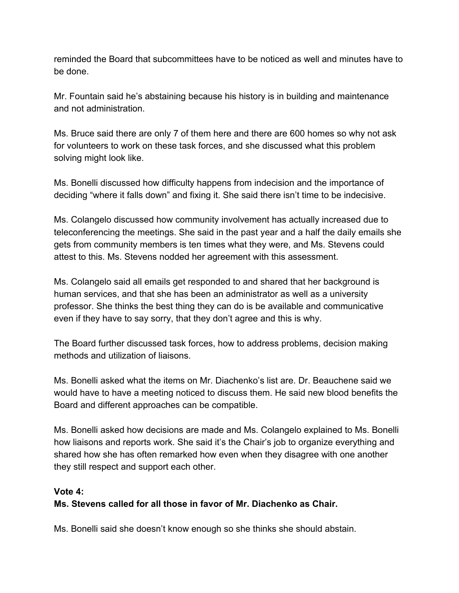reminded the Board that subcommittees have to be noticed as well and minutes have to be done.

Mr. Fountain said he's abstaining because his history is in building and maintenance and not administration.

Ms. Bruce said there are only 7 of them here and there are 600 homes so why not ask for volunteers to work on these task forces, and she discussed what this problem solving might look like.

Ms. Bonelli discussed how difficulty happens from indecision and the importance of deciding "where it falls down" and fixing it. She said there isn't time to be indecisive.

Ms. Colangelo discussed how community involvement has actually increased due to teleconferencing the meetings. She said in the past year and a half the daily emails she gets from community members is ten times what they were, and Ms. Stevens could attest to this. Ms. Stevens nodded her agreement with this assessment.

Ms. Colangelo said all emails get responded to and shared that her background is human services, and that she has been an administrator as well as a university professor. She thinks the best thing they can do is be available and communicative even if they have to say sorry, that they don't agree and this is why.

The Board further discussed task forces, how to address problems, decision making methods and utilization of liaisons.

Ms. Bonelli asked what the items on Mr. Diachenko's list are. Dr. Beauchene said we would have to have a meeting noticed to discuss them. He said new blood benefits the Board and different approaches can be compatible.

Ms. Bonelli asked how decisions are made and Ms. Colangelo explained to Ms. Bonelli how liaisons and reports work. She said it's the Chair's job to organize everything and shared how she has often remarked how even when they disagree with one another they still respect and support each other.

### **Vote 4:**

### **Ms. Stevens called for all those in favor of Mr. Diachenko as Chair.**

Ms. Bonelli said she doesn't know enough so she thinks she should abstain.